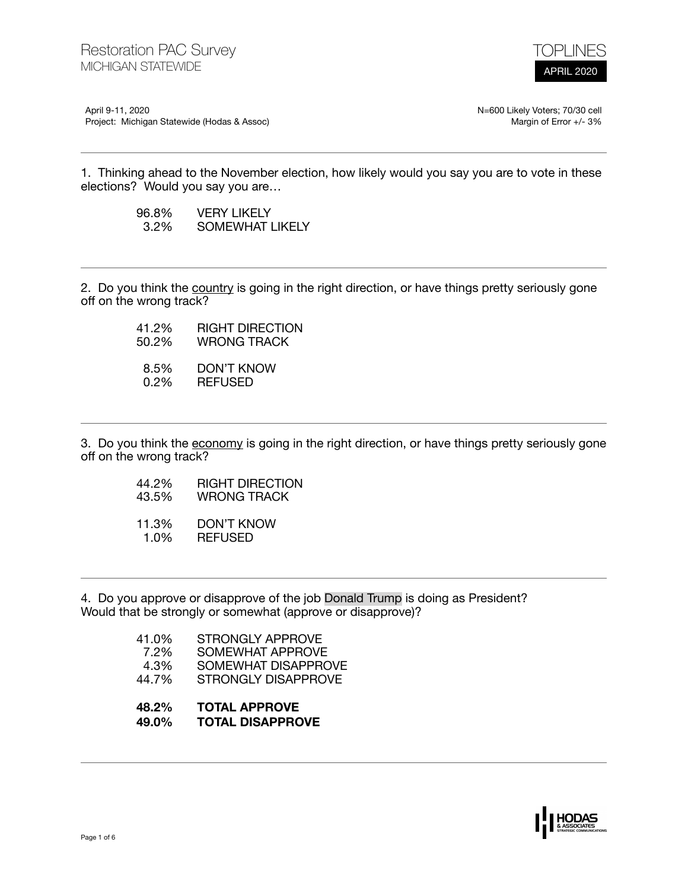

April 9-11, 2020 Project: Michigan Statewide (Hodas & Assoc) N=600 Likely Voters; 70/30 cell Margin of Error +/- 3%

1. Thinking ahead to the November election, how likely would you say you are to vote in these elections? Would you say you are…

| 96.8%   | <b>VERY LIKELY</b> |
|---------|--------------------|
| $3.2\%$ | SOMEWHAT LIKELY    |

2. Do you think the country is going in the right direction, or have things pretty seriously gone off on the wrong track?

> 41.2% RIGHT DIRECTION<br>50.2% WRONG TRACK WRONG TRACK 8.5% DON'T KNOW<br>0.2% REFUSED 0.2% REFUSED

3. Do you think the economy is going in the right direction, or have things pretty seriously gone off on the wrong track?

- 44.2% RIGHT DIRECTION
- 43.5% WRONG TRACK
- 11.3% DON'T KNOW 1.0% REFUSED

4. Do you approve or disapprove of the job Donald Trump is doing as President? Would that be strongly or somewhat (approve or disapprove)?

| 41.0% | <b>STRONGLY APPROVE</b> |
|-------|-------------------------|
| 7.2%  | SOMEWHAT APPROVE        |
| 4.3%  | SOMEWHAT DISAPPROVE     |
| 44.7% | STRONGLY DISAPPROVE     |
|       |                         |

- **48.2% TOTAL APPROVE**
- **49.0% TOTAL DISAPPROVE**

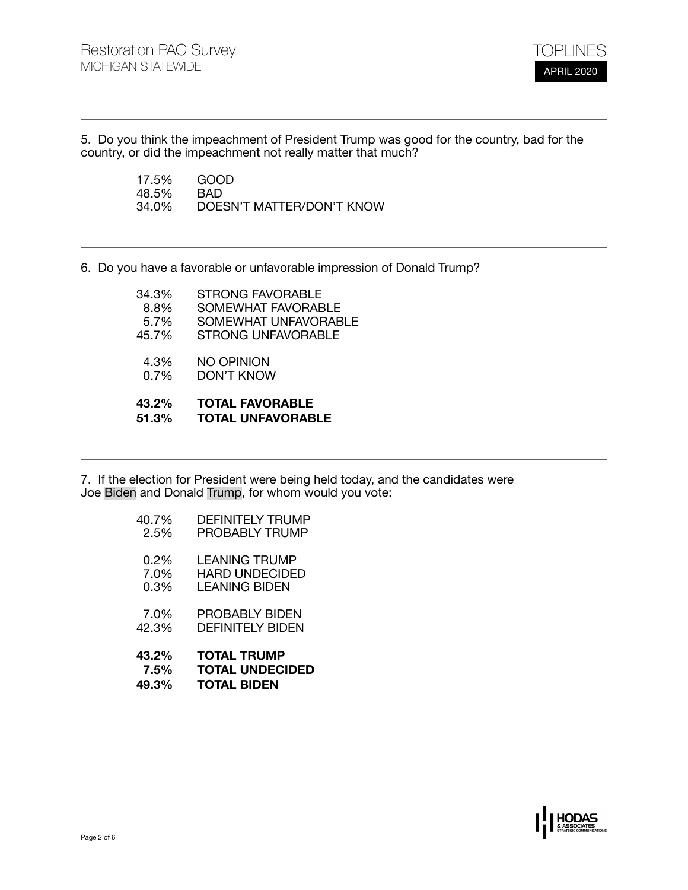

5. Do you think the impeachment of President Trump was good for the country, bad for the country, or did the impeachment not really matter that much?

> 17.5% GOOD<br>48.5% BAD 48.5%<br>34.0% 34.0% DOESN'T MATTER/DON'T KNOW

6. Do you have a favorable or unfavorable impression of Donald Trump?

| 43.2%<br>51.3% | <b>TOTAL FAVORABLE</b><br><b>TOTAL UNFAVORABLE</b> |
|----------------|----------------------------------------------------|
| $0.7\%$        | DON'T KNOW                                         |
| 4.3%           | NO OPINION                                         |
| 45.7%          | <b>STRONG UNFAVORABLE</b>                          |
| 5.7%           | SOMEWHAT UNFAVORABLE                               |
| 8.8%           | SOMEWHAT FAVORABLE                                 |
| 34.3%          | <b>STRONG FAVORABLE</b>                            |

7. If the election for President were being held today, and the candidates were Joe Biden and Donald Trump, for whom would you vote:

| 43.2%   | <b>TOTAL TRUMP</b>      |
|---------|-------------------------|
| 7.5%    | <b>TOTAL UNDECIDED</b>  |
| 49.3%   | <b>TOTAL BIDEN</b>      |
| 7.0%    | PROBABLY BIDEN          |
| 42.3%   | DFFINITFI Y RIDFN       |
| $0.2\%$ | <b>LEANING TRUMP</b>    |
| 7.0%    | <b>HARD UNDECIDED</b>   |
| 0.3%    | <b>LEANING BIDEN</b>    |
| 40.7%   | <b>DEFINITELY TRUMP</b> |
| 2.5%    | <b>PROBABLY TRUMP</b>   |

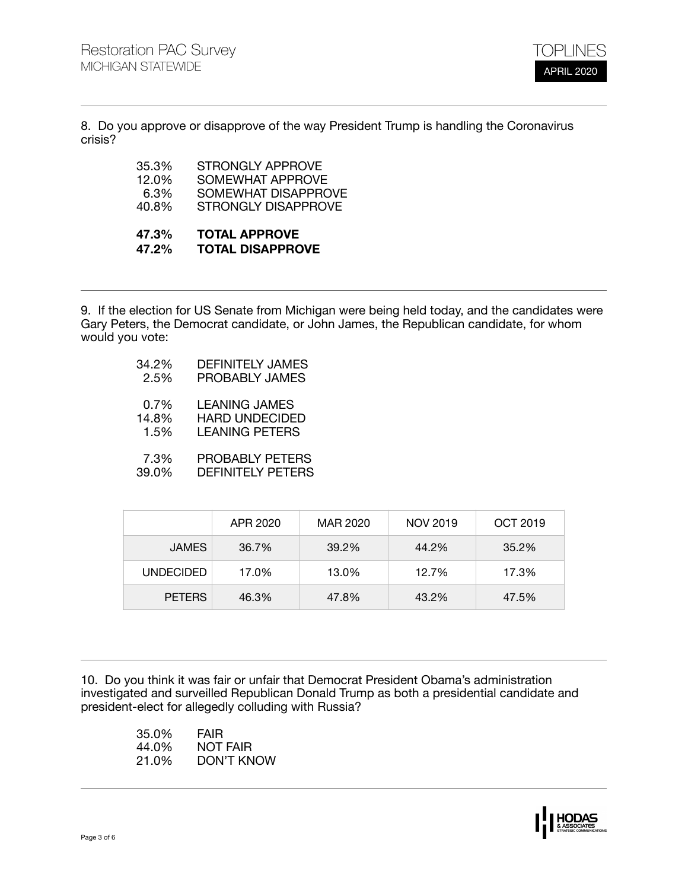

8. Do you approve or disapprove of the way President Trump is handling the Coronavirus crisis?

| 47.3%    | <b>TOTAL APPROVE</b>       |
|----------|----------------------------|
| 40.8%    | <b>STRONGLY DISAPPROVE</b> |
| 6.3%     | SOMEWHAT DISAPPROVE        |
| $12.0\%$ | SOMEWHAT APPROVE           |
| 35.3%    | STRONGLY APPROVE           |
|          |                            |

## **47.2% TOTAL DISAPPROVE**

9. If the election for US Senate from Michigan were being held today, and the candidates were Gary Peters, the Democrat candidate, or John James, the Republican candidate, for whom would you vote:

- 34.2% DEFINITELY JAMES
	- PROBABLY JAMES
- 0.7% LEANING JAMES<br>14.8% HARD UNDECIDE
- 1.8% HARD UNDECIDED<br>1.5% LEANING PETERS
- LEANING PETERS
- 7.3% PROBABLY PETERS<br>39.0% DEFINITELY PETERS DEFINITELY PETERS

|                  | APR 2020 | MAR 2020 | NOV 2019 | OCT 2019 |
|------------------|----------|----------|----------|----------|
| <b>JAMES</b>     | 36.7%    | 39.2%    | 44.2%    | 35.2%    |
| <b>UNDECIDED</b> | 17.0%    | 13.0%    | 12.7%    | 17.3%    |
| <b>PETERS</b>    | 46.3%    | 47.8%    | 43.2%    | 47.5%    |

10. Do you think it was fair or unfair that Democrat President Obama's administration investigated and surveilled Republican Donald Trump as both a presidential candidate and president-elect for allegedly colluding with Russia?

| 35.0% | <b>FAIR</b> |
|-------|-------------|
| 44.0% | NOT FAIR    |
| 21.0% | DON'T KNOW  |

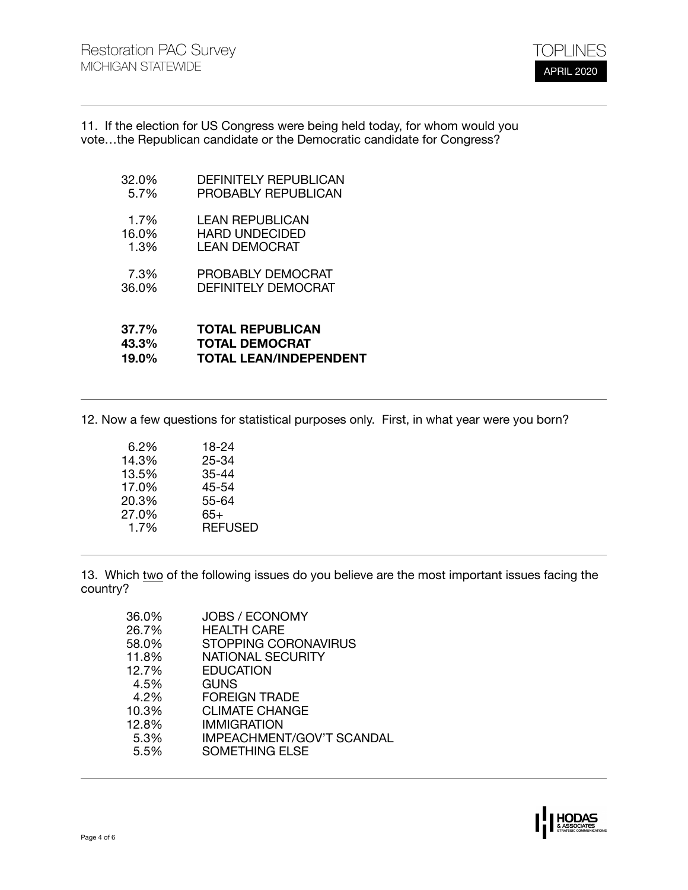

11. If the election for US Congress were being held today, for whom would you vote…the Republican candidate or the Democratic candidate for Congress?

- 32.0% DEFINITELY REPUBLICAN<br>5.7% PROBABLY REPUBLICAN PROBABLY REPUBLICAN
- 1.7% LEAN REPUBLICAN<br>16.0% HARD UNDECIDED
- 1.0% HARD UNDECIDED<br>1.3% LEAN DEMOCRAT LEAN DEMOCRAT
- 7.3% PROBABLY DEMOCRAT<br>36.0% DEFINITELY DEMOCRAT
- DEFINITELY DEMOCRAT
- **37.7% TOTAL REPUBLICAN 43.3% TOTAL DEMOCRAT 19.0% TOTAL LEAN/INDEPENDENT**

12. Now a few questions for statistical purposes only. First, in what year were you born?

| 6.2%  | 18-24          |
|-------|----------------|
| 14.3% | 25-34          |
| 13.5% | 35-44          |
| 17.0% | 45-54          |
| 20.3% | 55-64          |
| 27.0% | 65+            |
| 1.7%  | <b>REFUSED</b> |
|       |                |

13. Which two of the following issues do you believe are the most important issues facing the country?

| 36.0% | <b>JOBS / ECONOMY</b>            |
|-------|----------------------------------|
| 26.7% | <b>HEALTH CARE</b>               |
| 58.0% | <b>STOPPING CORONAVIRUS</b>      |
| 11.8% | <b>NATIONAL SECURITY</b>         |
| 12.7% | <b>EDUCATION</b>                 |
| 4.5%  | GUNS                             |
| 4.2%  | <b>FOREIGN TRADE</b>             |
| 10.3% | <b>CLIMATE CHANGE</b>            |
| 12.8% | IMMIGRATION                      |
| 5.3%  | <b>IMPEACHMENT/GOV'T SCANDAL</b> |
| 5.5%  | <b>SOMETHING ELSE</b>            |
|       |                                  |

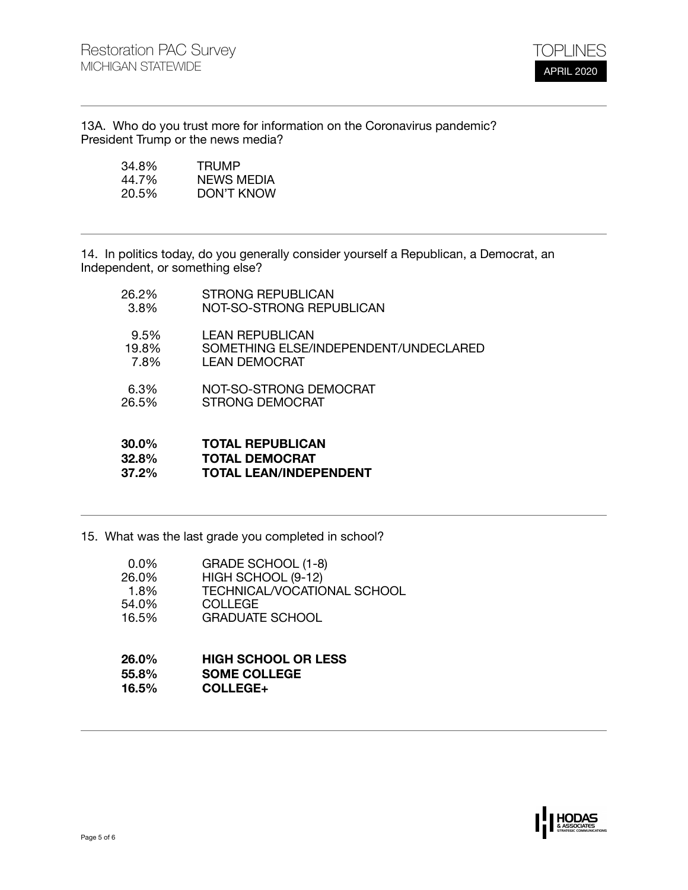

13A. Who do you trust more for information on the Coronavirus pandemic? President Trump or the news media?

| 34.8% | TRUMP      |
|-------|------------|
| 44.7% | NEWS MEDIA |
| 20.5% | DON'T KNOW |

14. In politics today, do you generally consider yourself a Republican, a Democrat, an Independent, or something else?

| 30.0% | <b>TOTAL REPUBLICAN</b>               |
|-------|---------------------------------------|
| 32.8% | <b>TOTAL DEMOCRAT</b>                 |
| 37.2% | <b>TOTAL LEAN/INDEPENDENT</b>         |
| 6.3%  | NOT-SO-STRONG DEMOCRAT                |
| 26.5% | STRONG DEMOCRAT                       |
| 9.5%  | <b>LEAN REPUBLICAN</b>                |
| 19.8% | SOMETHING ELSE/INDEPENDENT/UNDECLARED |
| 7.8%  | <b>LEAN DEMOCRAT</b>                  |
| 26.2% | <b>STRONG REPUBLICAN</b>              |
| 3.8%  | NOT-SO-STRONG REPUBLICAN              |

15. What was the last grade you completed in school?

| 0.0%  | GRADE SCHOOL (1-8)          |
|-------|-----------------------------|
| 26.0% | HIGH SCHOOL (9-12)          |
| 1.8%  | TECHNICAL/VOCATIONAL SCHOOL |
| 54.0% | <b>COLLEGE</b>              |
| 16.5% | <b>GRADUATE SCHOOL</b>      |
|       |                             |

## **26.0% HIGH SCHOOL OR LESS 55.8% SOME COLLEGE 16.5% COLLEGE+**